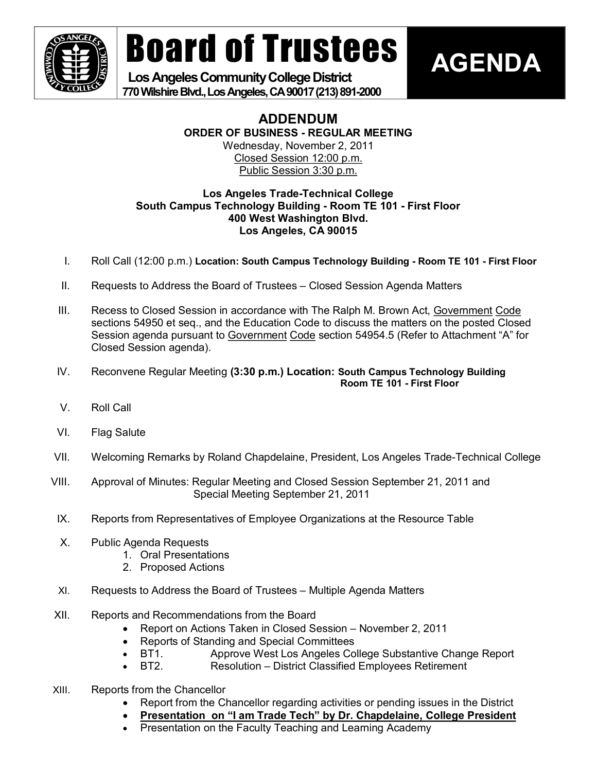

# Board of Trustees



Los Angeles Community College District **770WilshireBlvd.,LosAngeles,CA90017(213)8912000** 

# **ADDENDUM ORDER OF BUSINESS - REGULAR MEETING** Wednesday, November 2, 2011 Closed Session 12:00 p.m. Public Session 3:30 p.m.

# **Los Angeles Trade-Technical College South Campus Technology Building Room TE 101 First Floor 400 West Washington Blvd. Los Angeles, CA 90015**

- I. Roll Call (12:00 p.m.) **Location: South Campus Technology Building Room TE 101 First Floor**
- II. Requests to Address the Board of Trustees Closed Session Agenda Matters
- III. Recess to Closed Session in accordance with The Ralph M. Brown Act, Government Code sections 54950 et seq., and the Education Code to discuss the matters on the posted Closed Session agenda pursuant to Government Code section 54954.5 (Refer to Attachment "A" for Closed Session agenda).
- IV. Reconvene Regular Meeting **(3:30 p.m.) Location: South Campus Technology Building Room TE 101 First Floor**
- V. Roll Call
- VI. Flag Salute
- VII. Welcoming Remarks by Roland Chapdelaine, President, Los Angeles Trade-Technical College
- VIII. Approval of Minutes: Regular Meeting and Closed Session September 21, 2011 and Special Meeting September 21, 2011
- IX. Reports from Representatives of Employee Organizations at the Resource Table
- X. Public Agenda Requests
	- 1. Oral Presentations
	- 2. Proposed Actions
- XI. Requests to Address the Board of Trustees Multiple Agenda Matters
- XII. Reports and Recommendations from the Board
	- · Report on Actions Taken in Closed Session November 2, 2011
	- · Reports of Standing and Special Committees
	- · BT1. Approve West Los Angeles College Substantive Change Report
	- · BT2. Resolution District Classified Employees Retirement
- XIII. Reports from the Chancellor
	- · Report from the Chancellor regarding activities or pending issues in the District
	- · **Presentation on "I am Trade Tech" by Dr. Chapdelaine, College President**
	- · Presentation on the Faculty Teaching and Learning Academy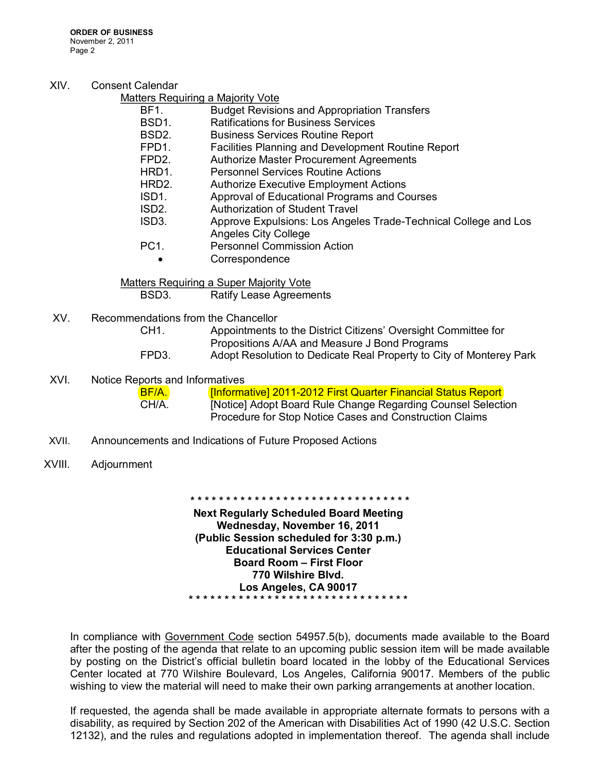**ORDER OF BUSINESS** November 2, 2011 Page 2

#### XIV. Consent Calendar

| <b>AIV.</b> | VUIISCHI VAICHUAI                                        |                                                                     |  |
|-------------|----------------------------------------------------------|---------------------------------------------------------------------|--|
|             | <b>Matters Requiring a Majority Vote</b>                 |                                                                     |  |
|             | BF1.                                                     | <b>Budget Revisions and Appropriation Transfers</b>                 |  |
|             | BSD1.                                                    | <b>Ratifications for Business Services</b>                          |  |
|             | BSD <sub>2</sub> .                                       | <b>Business Services Routine Report</b>                             |  |
|             | FPD1.                                                    | Facilities Planning and Development Routine Report                  |  |
|             | FPD <sub>2</sub> .                                       | <b>Authorize Master Procurement Agreements</b>                      |  |
|             | HRD1.                                                    | <b>Personnel Services Routine Actions</b>                           |  |
|             | HRD2.                                                    | <b>Authorize Executive Employment Actions</b>                       |  |
|             | ISD1.                                                    | Approval of Educational Programs and Courses                        |  |
|             | ISD <sub>2</sub> .                                       | <b>Authorization of Student Travel</b>                              |  |
|             | ISD <sub>3</sub> .                                       | Approve Expulsions: Los Angeles Trade-Technical College and Los     |  |
|             |                                                          | <b>Angeles City College</b>                                         |  |
|             | PC1.                                                     | <b>Personnel Commission Action</b>                                  |  |
|             | $\bullet$                                                | Correspondence                                                      |  |
|             | <b>Matters Requiring a Super Majority Vote</b>           |                                                                     |  |
|             | BSD <sub>3</sub> .                                       | <b>Ratify Lease Agreements</b>                                      |  |
|             |                                                          |                                                                     |  |
| XV.         | Recommendations from the Chancellor                      |                                                                     |  |
|             | CH <sub>1</sub> .                                        | Appointments to the District Citizens' Oversight Committee for      |  |
|             |                                                          | Propositions A/AA and Measure J Bond Programs                       |  |
|             | FPD3.                                                    | Adopt Resolution to Dedicate Real Property to City of Monterey Park |  |
| XVI.        |                                                          | Notice Reports and Informatives                                     |  |
|             | BF/A.                                                    | <b>Informative] 2011-2012 First Quarter Financial Status Report</b> |  |
|             | CH/A.                                                    | [Notice] Adopt Board Rule Change Regarding Counsel Selection        |  |
|             |                                                          | Procedure for Stop Notice Cases and Construction Claims             |  |
|             |                                                          |                                                                     |  |
| XVII.       | Announcements and Indications of Future Proposed Actions |                                                                     |  |
|             |                                                          |                                                                     |  |
| XVIII.      | Adjournment                                              |                                                                     |  |
|             |                                                          |                                                                     |  |
|             |                                                          |                                                                     |  |

**\* \* \* \* \* \* \* \* \* \* \* \* \* \* \* \* \* \* \* \* \* \* \* \* \* \* \* \* \* \* \*** 

**Next Regularly Scheduled Board Meeting Wednesday, November 16, 2011 (Public Session scheduled for 3:30 p.m.) Educational Services Center Board Room – First Floor 770 Wilshire Blvd. Los Angeles, CA 90017 \* \* \* \* \* \* \* \* \* \* \* \* \* \* \* \* \* \* \* \* \* \* \* \* \* \* \* \* \* \* \***

In compliance with Government Code section 54957.5(b), documents made available to the Board after the posting of the agenda that relate to an upcoming public session item will be made available by posting on the District's official bulletin board located in the lobby of the Educational Services Center located at 770 Wilshire Boulevard, Los Angeles, California 90017. Members of the public wishing to view the material will need to make their own parking arrangements at another location.

If requested, the agenda shall be made available in appropriate alternate formats to persons with a disability, as required by Section 202 of the American with Disabilities Act of 1990 (42 U.S.C. Section 12132), and the rules and regulations adopted in implementation thereof. The agenda shall include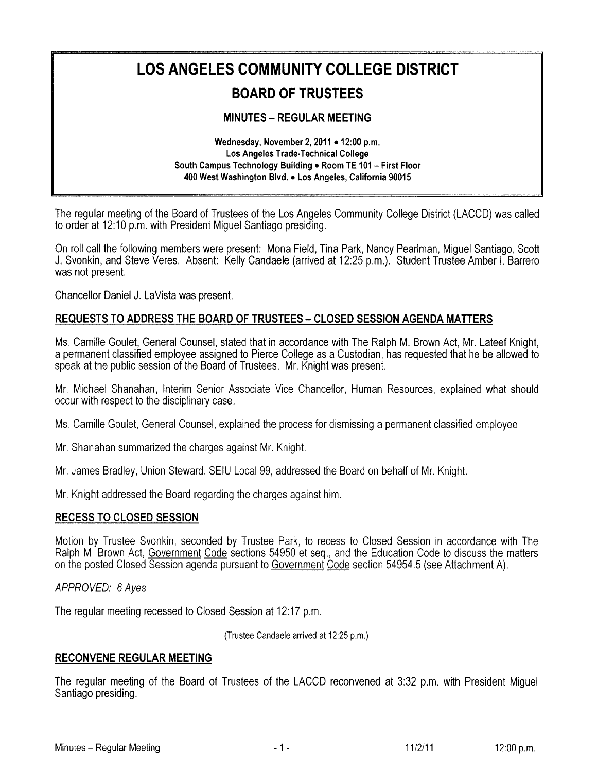# **LOS ANGELES COMMUNITY COLLEGE DISTRICT BOARD OF TRUSTEES**

# **MINUTES - REGULAR MEETING**

#### Wednesday, November 2, 2011 . 12:00 p.m. Los Angeles Trade-Technical College South Campus Technology Building . Room TE 101 - First Floor 400 West Washington Blvd. . Los Angeles, California 90015

The regular meeting of the Board of Trustees of the Los Angeles Community College District (LACCD) was called to order at 12:10 p.m. with President Miguel Santiago presiding.

On roll call the following members were present: Mona Field, Tina Park, Nancy Pearlman, Miquel Santiago, Scott J. Svonkin, and Steve Veres. Absent: Kelly Candaele (arrived at 12:25 p.m.). Student Trustee Amber I. Barrero was not present.

Chancellor Daniel J. LaVista was present.

#### REQUESTS TO ADDRESS THE BOARD OF TRUSTEES - CLOSED SESSION AGENDA MATTERS

Ms. Camille Goulet, General Counsel, stated that in accordance with The Ralph M. Brown Act, Mr. Lateef Knight, a permanent classified employee assigned to Pierce College as a Custodian, has requested that he be allowed to speak at the public session of the Board of Trustees. Mr. Knight was present.

Mr. Michael Shanahan, Interim Senior Associate Vice Chancellor, Human Resources, explained what should occur with respect to the disciplinary case.

Ms. Camille Goulet, General Counsel, explained the process for dismissing a permanent classified employee.

Mr. Shanahan summarized the charges against Mr. Knight.

Mr. James Bradley, Union Steward, SEIU Local 99, addressed the Board on behalf of Mr. Knight.

Mr. Knight addressed the Board regarding the charges against him.

#### **RECESS TO CLOSED SESSION**

Motion by Trustee Svonkin, seconded by Trustee Park, to recess to Closed Session in accordance with The Ralph M. Brown Act, Government Code sections 54950 et seq., and the Education Code to discuss the matters on the posted Closed Session agenda pursuant to Government Code section 54954.5 (see Attachment A).

APPROVED: 6 Ayes

The regular meeting recessed to Closed Session at 12:17 p.m.

(Trustee Candaele arrived at 12:25 p.m.)

#### **RECONVENE REGULAR MEETING**

The regular meeting of the Board of Trustees of the LACCD reconvened at 3:32 p.m. with President Miguel Santiago presiding.